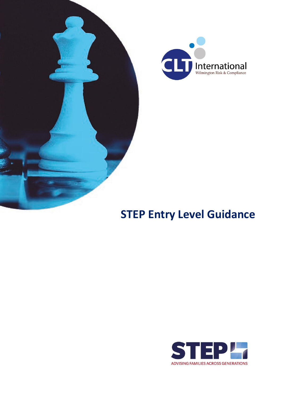



# **STEP Entry Level Guidance**

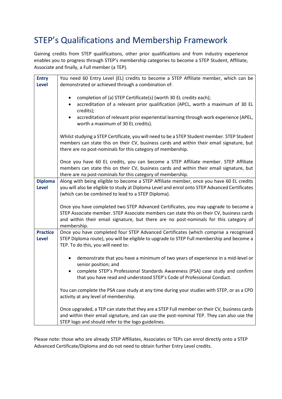### STEP's Qualifications and Membership Framework

Gaining credits from STEP qualifications, other prior qualifications and from industry experience enables you to progress through STEP's membership categories to become a STEP Student, Affiliate, Associate and finally, a Full member (a TEP).

| <b>Entry</b>    | You need 60 Entry Level (EL) credits to become a STEP Affiliate member, which can be                                                                                                    |
|-----------------|-----------------------------------------------------------------------------------------------------------------------------------------------------------------------------------------|
| <b>Level</b>    | demonstrated or achieved through a combination of:                                                                                                                                      |
|                 |                                                                                                                                                                                         |
|                 | completion of (a) STEP Certificate(s) (worth 30 EL credits each);                                                                                                                       |
|                 | accreditation of a relevant prior qualification (APCL, worth a maximum of 30 EL<br>$\bullet$                                                                                            |
|                 | credits);                                                                                                                                                                               |
|                 | accreditation of relevant prior experiential learning through work experience (APEL,                                                                                                    |
|                 | worth a maximum of 30 EL credits).                                                                                                                                                      |
|                 |                                                                                                                                                                                         |
|                 | Whilst studying a STEP Certificate, you will need to be a STEP Student member. STEP Student<br>members can state this on their CV, business cards and within their email signature, but |
|                 | there are no post-nominals for this category of membership.                                                                                                                             |
|                 |                                                                                                                                                                                         |
|                 | Once you have 60 EL credits, you can become a STEP Affiliate member. STEP Affiliate                                                                                                     |
|                 | members can state this on their CV, business cards and within their email signature, but                                                                                                |
|                 | there are no post-nominals for this category of membership.                                                                                                                             |
| <b>Diploma</b>  | Along with being eligible to become a STEP Affiliate member, once you have 60 EL credits                                                                                                |
| <b>Level</b>    | you will also be eligible to study at Diploma Level and enrol onto STEP Advanced Certificates                                                                                           |
|                 | (which can be combined to lead to a STEP Diploma).                                                                                                                                      |
|                 |                                                                                                                                                                                         |
|                 | Once you have completed two STEP Advanced Certificates, you may upgrade to become a<br>STEP Associate member. STEP Associate members can state this on their CV, business cards         |
|                 | and within their email signature, but there are no post-nominals for this category of                                                                                                   |
|                 | membership.                                                                                                                                                                             |
| <b>Practice</b> | Once you have completed four STEP Advanced Certificates (which comprise a recognised                                                                                                    |
| <b>Level</b>    | STEP Diploma route), you will be eligible to upgrade to STEP Full membership and become a                                                                                               |
|                 | TEP. To do this, you will need to:                                                                                                                                                      |
|                 |                                                                                                                                                                                         |
|                 | demonstrate that you have a minimum of two years of experience in a mid-level or                                                                                                        |
|                 | senior position; and                                                                                                                                                                    |
|                 | complete STEP's Professional Standards Awareness (PSA) case study and confirm<br>$\bullet$                                                                                              |
|                 | that you have read and understood STEP's Code of Professional Conduct.                                                                                                                  |
|                 | You can complete the PSA case study at any time during your studies with STEP, or as a CPD                                                                                              |
|                 | activity at any level of membership.                                                                                                                                                    |
|                 |                                                                                                                                                                                         |
|                 | Once upgraded, a TEP can state that they are a STEP Full member on their CV, business cards                                                                                             |
|                 | and within their email signature, and can use the post-nominal TEP. They can also use the                                                                                               |
|                 | STEP logo and should refer to the logo guidelines.                                                                                                                                      |

Please note: those who are already STEP Affiliates, Associates or TEPs can enrol directly onto a STEP Advanced Certificate/Diploma and do not need to obtain further Entry Level credits.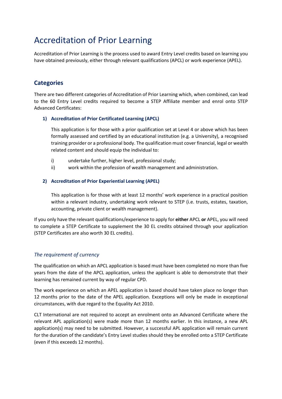### Accreditation of Prior Learning

Accreditation of Prior Learning is the process used to award Entry Level credits based on learning you have obtained previously, either through relevant qualifications (APCL) or work experience (APEL).

### **Categories**

There are two different categories of Accreditation of Prior Learning which, when combined, can lead to the 60 Entry Level credits required to become a STEP Affiliate member and enrol onto STEP Advanced Certificates:

#### **1) Accreditation of Prior Certificated Learning (APCL)**

This application is for those with a prior qualification set at Level 4 or above which has been formally assessed and certified by an educational institution (e.g. a University), a recognised training provider or a professional body. The qualification must cover financial, legal or wealth related content and should equip the individual to:

- i) undertake further, higher level, professional study;
- ii) work within the profession of wealth management and administration.

#### **2) Accreditation of Prior Experiential Learning (APEL)**

This application is for those with at least 12 months' work experience in a practical position within a relevant industry, undertaking work relevant to STEP (i.e. trusts, estates, taxation, accounting, private client or wealth management).

If you only have the relevant qualifications/experience to apply for **either** APCL **or** APEL, you will need to complete a STEP Certificate to supplement the 30 EL credits obtained through your application (STEP Certificates are also worth 30 EL credits).

#### *The requirement of currency*

The qualification on which an APCL application is based must have been completed no more than five years from the date of the APCL application, unless the applicant is able to demonstrate that their learning has remained current by way of regular CPD.

The work experience on which an APEL application is based should have taken place no longer than 12 months prior to the date of the APEL application. Exceptions will only be made in exceptional circumstances, with due regard to the Equality Act 2010.

CLT International are not required to accept an enrolment onto an Advanced Certificate where the relevant APL application(s) were made more than 12 months earlier. In this instance, a new APL application(s) may need to be submitted. However, a successful APL application will remain current for the duration of the candidate's Entry Level studies should they be enrolled onto a STEP Certificate (even if this exceeds 12 months).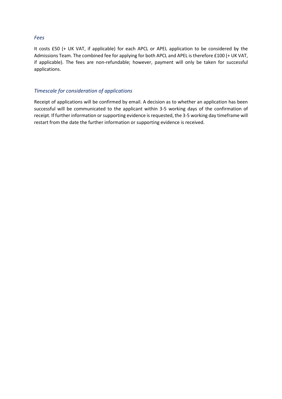#### *Fees*

It costs £50 (+ UK VAT, if applicable) for each APCL or APEL application to be considered by the Admissions Team. The combined fee for applying for both APCL and APEL is therefore £100 (+ UK VAT, if applicable). The fees are non-refundable; however, payment will only be taken for successful applications.

#### *Timescale for consideration of applications*

Receipt of applications will be confirmed by email. A decision as to whether an application has been successful will be communicated to the applicant within 3-5 working days of the confirmation of receipt. If further information or supporting evidence is requested, the 3-5 working day timeframe will restart from the date the further information or supporting evidence is received.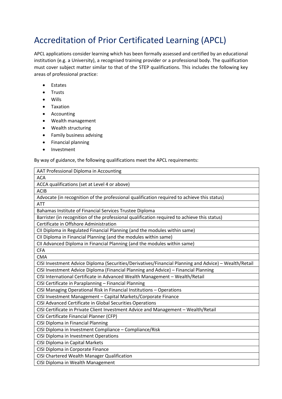### Accreditation of Prior Certificated Learning (APCL)

APCL applications consider learning which has been formally assessed and certified by an educational institution (e.g. a University), a recognised training provider or a professional body. The qualification must cover subject matter similar to that of the STEP qualifications. This includes the following key areas of professional practice:

- Estates
- Trusts
- Wills
- Taxation
- Accounting
- Wealth management
- Wealth structuring
- Family business advising
- Financial planning
- Investment

By way of guidance, the following qualifications meet the APCL requirements:

| <b>ACA</b><br>ACCA qualifications (set at Level 4 or above)<br><b>ACIB</b><br>Advocate (in recognition of the professional qualification required to achieve this status)<br><b>ATT</b><br>Bahamas Institute of Financial Services Trustee Diploma<br>Barrister (in recognition of the professional qualification required to achieve this status)<br>Certificate in Offshore Administration<br>CII Diploma in Regulated Financial Planning (and the modules within same)<br>CII Diploma in Financial Planning (and the modules within same)<br>CII Advanced Diploma in Financial Planning (and the modules within same)<br><b>CFA</b><br><b>CMA</b><br>CISI Investment Advice Diploma (Securities/Derivatives/Financial Planning and Advice) - Wealth/Retail<br>CISI Investment Advice Diploma (Financial Planning and Advice) - Financial Planning<br>CISI International Certificate in Advanced Wealth Management - Wealth/Retail<br>CISI Certificate in Paraplanning - Financial Planning<br>CISI Managing Operational Risk in Financial Institutions - Operations<br>CISI Investment Management - Capital Markets/Corporate Finance<br>CISI Advanced Certificate in Global Securities Operations<br>CISI Certificate in Private Client Investment Advice and Management - Wealth/Retail<br>CISI Certificate Financial Planner (CFP)<br>CISI Diploma in Financial Planning |  |
|--------------------------------------------------------------------------------------------------------------------------------------------------------------------------------------------------------------------------------------------------------------------------------------------------------------------------------------------------------------------------------------------------------------------------------------------------------------------------------------------------------------------------------------------------------------------------------------------------------------------------------------------------------------------------------------------------------------------------------------------------------------------------------------------------------------------------------------------------------------------------------------------------------------------------------------------------------------------------------------------------------------------------------------------------------------------------------------------------------------------------------------------------------------------------------------------------------------------------------------------------------------------------------------------------------------------------------------------------------------------------------|--|
|                                                                                                                                                                                                                                                                                                                                                                                                                                                                                                                                                                                                                                                                                                                                                                                                                                                                                                                                                                                                                                                                                                                                                                                                                                                                                                                                                                                |  |
|                                                                                                                                                                                                                                                                                                                                                                                                                                                                                                                                                                                                                                                                                                                                                                                                                                                                                                                                                                                                                                                                                                                                                                                                                                                                                                                                                                                |  |
|                                                                                                                                                                                                                                                                                                                                                                                                                                                                                                                                                                                                                                                                                                                                                                                                                                                                                                                                                                                                                                                                                                                                                                                                                                                                                                                                                                                |  |
|                                                                                                                                                                                                                                                                                                                                                                                                                                                                                                                                                                                                                                                                                                                                                                                                                                                                                                                                                                                                                                                                                                                                                                                                                                                                                                                                                                                |  |
|                                                                                                                                                                                                                                                                                                                                                                                                                                                                                                                                                                                                                                                                                                                                                                                                                                                                                                                                                                                                                                                                                                                                                                                                                                                                                                                                                                                |  |
|                                                                                                                                                                                                                                                                                                                                                                                                                                                                                                                                                                                                                                                                                                                                                                                                                                                                                                                                                                                                                                                                                                                                                                                                                                                                                                                                                                                |  |
|                                                                                                                                                                                                                                                                                                                                                                                                                                                                                                                                                                                                                                                                                                                                                                                                                                                                                                                                                                                                                                                                                                                                                                                                                                                                                                                                                                                |  |
|                                                                                                                                                                                                                                                                                                                                                                                                                                                                                                                                                                                                                                                                                                                                                                                                                                                                                                                                                                                                                                                                                                                                                                                                                                                                                                                                                                                |  |
|                                                                                                                                                                                                                                                                                                                                                                                                                                                                                                                                                                                                                                                                                                                                                                                                                                                                                                                                                                                                                                                                                                                                                                                                                                                                                                                                                                                |  |
|                                                                                                                                                                                                                                                                                                                                                                                                                                                                                                                                                                                                                                                                                                                                                                                                                                                                                                                                                                                                                                                                                                                                                                                                                                                                                                                                                                                |  |
|                                                                                                                                                                                                                                                                                                                                                                                                                                                                                                                                                                                                                                                                                                                                                                                                                                                                                                                                                                                                                                                                                                                                                                                                                                                                                                                                                                                |  |
|                                                                                                                                                                                                                                                                                                                                                                                                                                                                                                                                                                                                                                                                                                                                                                                                                                                                                                                                                                                                                                                                                                                                                                                                                                                                                                                                                                                |  |
|                                                                                                                                                                                                                                                                                                                                                                                                                                                                                                                                                                                                                                                                                                                                                                                                                                                                                                                                                                                                                                                                                                                                                                                                                                                                                                                                                                                |  |
|                                                                                                                                                                                                                                                                                                                                                                                                                                                                                                                                                                                                                                                                                                                                                                                                                                                                                                                                                                                                                                                                                                                                                                                                                                                                                                                                                                                |  |
|                                                                                                                                                                                                                                                                                                                                                                                                                                                                                                                                                                                                                                                                                                                                                                                                                                                                                                                                                                                                                                                                                                                                                                                                                                                                                                                                                                                |  |
|                                                                                                                                                                                                                                                                                                                                                                                                                                                                                                                                                                                                                                                                                                                                                                                                                                                                                                                                                                                                                                                                                                                                                                                                                                                                                                                                                                                |  |
|                                                                                                                                                                                                                                                                                                                                                                                                                                                                                                                                                                                                                                                                                                                                                                                                                                                                                                                                                                                                                                                                                                                                                                                                                                                                                                                                                                                |  |
|                                                                                                                                                                                                                                                                                                                                                                                                                                                                                                                                                                                                                                                                                                                                                                                                                                                                                                                                                                                                                                                                                                                                                                                                                                                                                                                                                                                |  |
|                                                                                                                                                                                                                                                                                                                                                                                                                                                                                                                                                                                                                                                                                                                                                                                                                                                                                                                                                                                                                                                                                                                                                                                                                                                                                                                                                                                |  |
|                                                                                                                                                                                                                                                                                                                                                                                                                                                                                                                                                                                                                                                                                                                                                                                                                                                                                                                                                                                                                                                                                                                                                                                                                                                                                                                                                                                |  |
|                                                                                                                                                                                                                                                                                                                                                                                                                                                                                                                                                                                                                                                                                                                                                                                                                                                                                                                                                                                                                                                                                                                                                                                                                                                                                                                                                                                |  |
|                                                                                                                                                                                                                                                                                                                                                                                                                                                                                                                                                                                                                                                                                                                                                                                                                                                                                                                                                                                                                                                                                                                                                                                                                                                                                                                                                                                |  |
|                                                                                                                                                                                                                                                                                                                                                                                                                                                                                                                                                                                                                                                                                                                                                                                                                                                                                                                                                                                                                                                                                                                                                                                                                                                                                                                                                                                |  |
| CISI Diploma in Investment Compliance - Compliance/Risk                                                                                                                                                                                                                                                                                                                                                                                                                                                                                                                                                                                                                                                                                                                                                                                                                                                                                                                                                                                                                                                                                                                                                                                                                                                                                                                        |  |
| CISI Diploma in Investment Operations                                                                                                                                                                                                                                                                                                                                                                                                                                                                                                                                                                                                                                                                                                                                                                                                                                                                                                                                                                                                                                                                                                                                                                                                                                                                                                                                          |  |
| <b>CISI Diploma in Capital Markets</b>                                                                                                                                                                                                                                                                                                                                                                                                                                                                                                                                                                                                                                                                                                                                                                                                                                                                                                                                                                                                                                                                                                                                                                                                                                                                                                                                         |  |
| CISI Diploma in Corporate Finance                                                                                                                                                                                                                                                                                                                                                                                                                                                                                                                                                                                                                                                                                                                                                                                                                                                                                                                                                                                                                                                                                                                                                                                                                                                                                                                                              |  |
| CISI Chartered Wealth Manager Qualification                                                                                                                                                                                                                                                                                                                                                                                                                                                                                                                                                                                                                                                                                                                                                                                                                                                                                                                                                                                                                                                                                                                                                                                                                                                                                                                                    |  |
| CISI Diploma in Wealth Management                                                                                                                                                                                                                                                                                                                                                                                                                                                                                                                                                                                                                                                                                                                                                                                                                                                                                                                                                                                                                                                                                                                                                                                                                                                                                                                                              |  |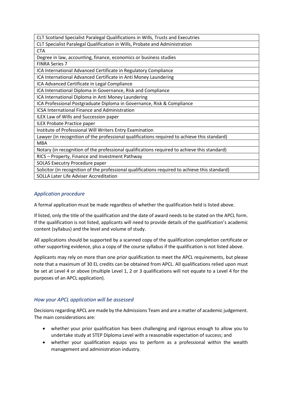| CLT Scotland Specialist Paralegal Qualifications in Wills, Trusts and Executries                |  |  |
|-------------------------------------------------------------------------------------------------|--|--|
| CLT Specialist Paralegal Qualification in Wills, Probate and Administration                     |  |  |
| <b>CTA</b>                                                                                      |  |  |
| Degree in law, accounting, finance, economics or business studies                               |  |  |
| <b>FINRA Series 7</b>                                                                           |  |  |
| ICA International Advanced Certificate in Regulatory Compliance                                 |  |  |
| ICA International Advanced Certificate in Anti Money Laundering                                 |  |  |
| ICA Advanced Certificate in Legal Compliance                                                    |  |  |
| ICA International Diploma in Governance, Risk and Compliance                                    |  |  |
| ICA International Diploma in Anti Money Laundering                                              |  |  |
| ICA Professional Postgraduate Diploma in Governance, Risk & Compliance                          |  |  |
| <b>ICSA International Finance and Administration</b>                                            |  |  |
| ILEX Law of Wills and Succession paper                                                          |  |  |
| <b>ILEX Probate Practice paper</b>                                                              |  |  |
| Institute of Professional Will Writers Entry Examination                                        |  |  |
| Lawyer (in recognition of the professional qualifications required to achieve this standard)    |  |  |
| <b>MBA</b>                                                                                      |  |  |
| Notary (in recognition of the professional qualifications required to achieve this standard)    |  |  |
| RICS - Property, Finance and Investment Pathway                                                 |  |  |
| SOLAS Executry Procedure paper                                                                  |  |  |
| Solicitor (in recognition of the professional qualifications required to achieve this standard) |  |  |
| SOLLA Later Life Adviser Accreditation                                                          |  |  |
|                                                                                                 |  |  |

#### *Application procedure*

A formal application must be made regardless of whether the qualification held is listed above.

If listed, only the title of the qualification and the date of award needs to be stated on the APCL form. If the qualification is not listed, applicants will need to provide details of the qualification's academic content (syllabus) and the level and volume of study.

All applications should be supported by a scanned copy of the qualification completion certificate or other supporting evidence, plus a copy of the course syllabus if the qualification is not listed above.

Applicants may rely on more than one prior qualification to meet the APCL requirements, but please note that a maximum of 30 EL credits can be obtained from APCL. All qualifications relied upon must be set at Level 4 or above (multiple Level 1, 2 or 3 qualifications will not equate to a Level 4 for the purposes of an APCL application).

#### *How your APCL application will be assessed*

Decisions regarding APCL are made by the Admissions Team and are a matter of academic judgement. The main considerations are:

- whether your prior qualification has been challenging and rigorous enough to allow you to undertake study at STEP Diploma Level with a reasonable expectation of success; and
- whether your qualification equips you to perform as a professional within the wealth management and administration industry.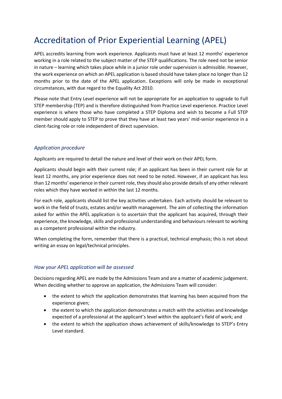### Accreditation of Prior Experiential Learning (APEL)

APEL accredits learning from work experience. Applicants must have at least 12 months' experience working in a role related to the subject matter of the STEP qualifications. The role need not be senior in nature – learning which takes place while in a junior role under supervision is admissible. However, the work experience on which an APEL application is based should have taken place no longer than 12 months prior to the date of the APEL application. Exceptions will only be made in exceptional circumstances, with due regard to the Equality Act 2010.

Please note that Entry Level experience will not be appropriate for an application to upgrade to Full STEP membership (TEP) and is therefore distinguished from Practice Level experience. Practice Level experience is where those who have completed a STEP Diploma and wish to become a Full STEP member should apply to STEP to prove that they have at least two years' mid-senior experience in a client-facing role or role independent of direct supervision.

#### *Application procedure*

Applicants are required to detail the nature and level of their work on their APEL form.

Applicants should begin with their current role; if an applicant has been in their current role for at least 12 months, any prior experience does not need to be noted. However, if an applicant has less than 12 months' experience in their current role, they should also provide details of any other relevant roles which they have worked in within the last 12 months.

For each role, applicants should list the key activities undertaken. Each activity should be relevant to work in the field of trusts, estates and/or wealth management. The aim of collecting the information asked for within the APEL application is to ascertain that the applicant has acquired, through their experience, the knowledge, skills and professional understanding and behaviours relevant to working as a competent professional within the industry.

When completing the form, remember that there is a practical, technical emphasis; this is not about writing an essay on legal/technical principles.

#### *How your APEL application will be assessed*

Decisions regarding APEL are made by the Admissions Team and are a matter of academic judgement. When deciding whether to approve an application, the Admissions Team will consider:

- the extent to which the application demonstrates that learning has been acquired from the experience given;
- the extent to which the application demonstrates a match with the activities and knowledge expected of a professional at the applicant's level within the applicant's field of work; and
- the extent to which the application shows achievement of skills/knowledge to STEP's Entry Level standard.